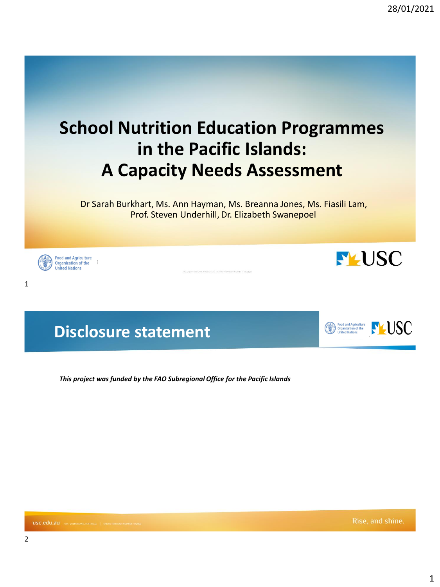

### **Disclosure statement**

*This project was funded by the FAO Subregional Office for the Pacific Islands*

**M** Food and Agriculture<br>USC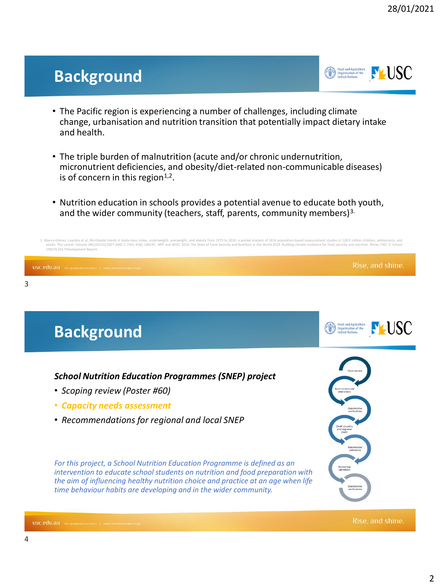### **Background**



- The Pacific region is experiencing a number of challenges, including climate change, urbanisation and nutrition transition that potentially impact dietary intake and health.
- The triple burden of malnutrition (acute and/or chronic undernutrition, micronutrient deficiencies, and obesity/diet-related non-communicable diseases) is of concern in this region $1,2$ .
- Nutrition education in schools provides a potential avenue to educate both youth, and the wider community (teachers, staff, parents, community members)<sup>3.</sup>

A. Abara-oGmeutablik media (wordwide trends in body-mass index with product and obesity from 1975 to 2015: a pooled analysis of 2415 appulation-based measurement studies in 1989 plation in the World 2018. Building climate UNSCN2017Development Report. Rise, and shine. USC.edu.au USC, QUEENSLAND, AUSTRALIA | CRICOS PROVIDER NUMBE



3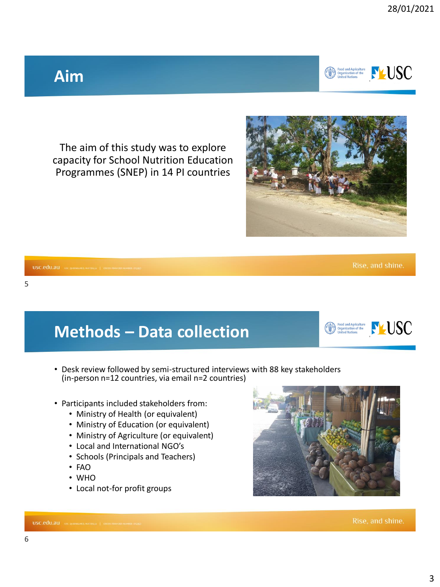# **Aim**

The aim of this study was to explore capacity for School Nutrition Education Programmes (SNEP) in 14 PI countries

# **Methods – Data collection**

- Desk review followed by semi-structured interviews with 88 key stakeholders (in-person n=12 countries, via email n=2 countries)
- Participants included stakeholders from:
	- Ministry of Health (or equivalent)
	- Ministry of Education (or equivalent)
	- Ministry of Agriculture (or equivalent)
	- Local and International NGO's
	- Schools (Principals and Teachers)
	- FAO
	- WHO

USC.edu.au USC, QUEENSLAND, AUSTRALIA | CRICOS PROVIDER NUMBER

• Local not-for profit groups

Rise, and shine.





Rise, and shine.





6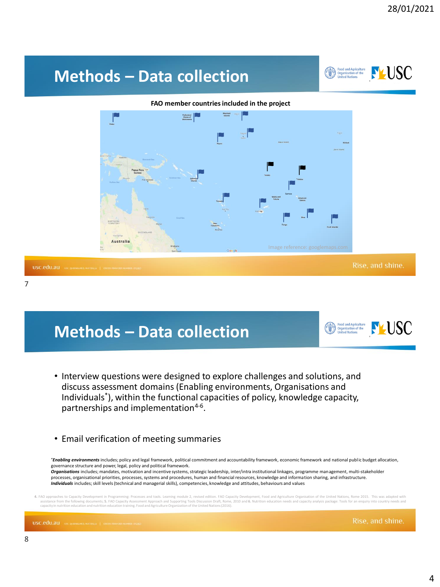# Food and Agriculture<br>Organization of the<br>United Nations **PLUSC Methods – Data collection FAO member countries included in the project** Federated<br>States of<br>Micronesia Samoa Australia Rise, and shine. USC.edu.au USC, QUEENSLAND, AUSTI

7

## **Methods – Data collection**

- Interview questions were designed to explore challenges and solutions, and discuss assessment domains (Enabling environments, Organisations and Individuals\* ), within the functional capacities of policy, knowledge capacity, partnerships and implementation<sup>4-6</sup>.
- Email verification of meeting summaries

*\*Enabling environments* includes; policy and legal framework, political commitment and accountability framework, economic framework and national public budget allocation, governance structure and power, legal, policy and political framework.

*Organisations* includes; mandates, motivation and incentive systems, strategic leadership, inter/intra institutional linkages, programme management, multi-stakeholder processes, organisational priorities, processes, systems and procedures, human and financial resources, knowledge and information sharing, and infrastructure. *Individuals* includes; skill levels (technical and managerial skills), competencies, knowledge and attitudes, behaviours and values

ng: Processes and tools. Leaming module 2, revised edition. FAO Capacity Development, Food and Agriculture Organisation of the United Nations, Rome 2015. This was adapted with<br>ty Assessment Approach and Supporting Tools Di assistance from the following documents; 5. FAO Capacity Assessment Approach and Supporting Tools Discussion Draft, Rome, 2010 and 6. Nutrition educati capacity in nutrition education and nutrition education training. Food and AgricultureOrganizationof the United Nations(2016).

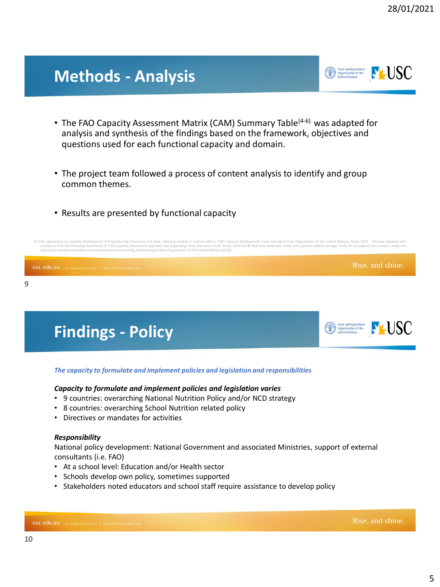5

### **Methods - Analysis**

- The FAO Capacity Assessment Matrix (CAM) Summary Table<sup>(4-6)</sup> was adapted for analysis and synthesis of the findings based on the framework, objectives and questions used for each functional capacity and domain.
- The project team followed a process of content analysis to identify and group common themes.
- Results are presented by functional capacity

4. FAO approaches to Capacity Development in Programming: Processes and tools. Leanning module 2, revised edition. FAO Capacity Development, Food and Agriculture Organisation of the United Nations, Rome 2015. This was adap

### Rise, and shine. USC.edu.au usc.queensiand.australia | Cricos Provider Number 9

### *The capacity to formulate and implement policies and legislation and responsibilities*

#### *Capacity to formulate and implement policies and legislation varies*

- 9 countries: overarching National Nutrition Policy and/or NCD strategy
- 8 countries: overarching School Nutrition related policy
- Directives or mandates for activities

**Findings - Policy**

#### *Responsibility*

National policy development: National Government and associated Ministries, support of external consultants (i.e. FAO)

- At a school level: Education and/or Health sector
- Schools develop own policy, sometimes supported
- Stakeholders noted educators and school staff require assistance to develop policy

10





Rise, and shine.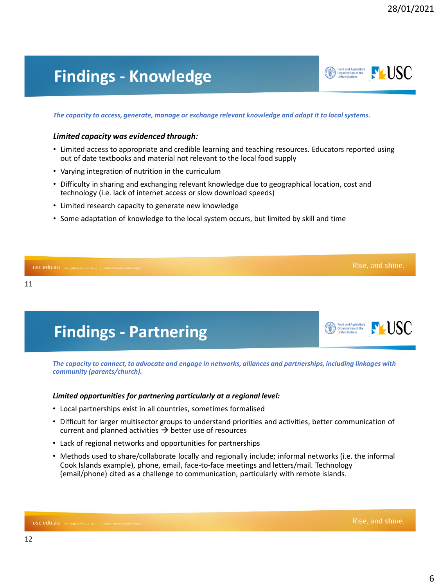**PLUSC** 

Food and Agriculture<br>Organization of the<br>United Nations

### **Findings - Knowledge**

*The capacity to access, generate, manage or exchange relevant knowledge and adapt it to local systems.*

#### *Limited capacity was evidenced through:*

- Limited access to appropriate and credible learning and teaching resources. Educators reported using out of date textbooks and material not relevant to the local food supply
- Varying integration of nutrition in the curriculum

**Findings - Partnering**

- Difficulty in sharing and exchanging relevant knowledge due to geographical location, cost and technology (i.e. lack of internet access or slow download speeds)
- Limited research capacity to generate new knowledge
- Some adaptation of knowledge to the local system occurs, but limited by skill and time

## Rise, and shine. USC.edu.au USC, QUEENSLAND, AUSTRALIA | CRICOS PROVIDER NUMBER: O 11

*The capacity to connect, to advocate and engage in networks, alliances and partnerships, including linkages with community (parents/church).*

#### *Limited opportunities for partnering particularly at a regional level:*

- Local partnerships exist in all countries, sometimes formalised
- Difficult for larger multisector groups to understand priorities and activities, better communication of current and planned activities  $\rightarrow$  better use of resources
- Lack of regional networks and opportunities for partnerships
- Methods used to share/collaborate locally and regionally include; informal networks (i.e. the informal Cook Islands example), phone, email, face-to-face meetings and letters/mail. Technology (email/phone) cited as a challenge to communication, particularly with remote islands.

Food and Agriculture<br>Organization of the  $\sum_{\text{Unified Nations}}$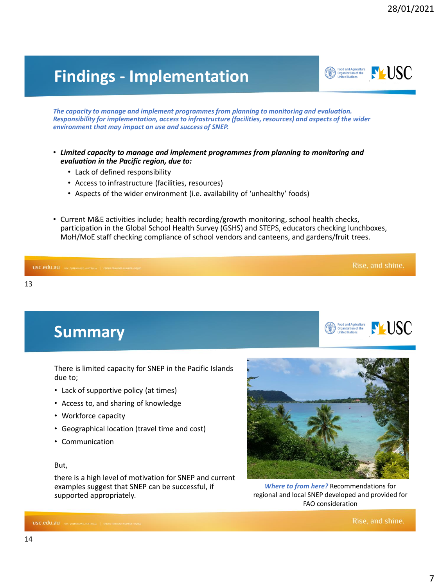# **Findings - Implementation**

*The capacity to manage and implement programmes from planning to monitoring and evaluation. Responsibility for implementation, access to infrastructure (facilities, resources) and aspects of the wider environment that may impact on use and success of SNEP.* 

- *Limited capacity to manage and implement programmes from planning to monitoring and evaluation in the Pacific region, due to:*
	- Lack of defined responsibility
	- Access to infrastructure (facilities, resources)
	- Aspects of the wider environment (i.e. availability of 'unhealthy' foods)
- Current M&E activities include; health recording/growth monitoring, school health checks, participation in the Global School Health Survey (GSHS) and STEPS, educators checking lunchboxes, MoH/MoE staff checking compliance of school vendors and canteens, and gardens/fruit trees.

| USC.edu.au USC. QUEENSLAND, AUSTRALIA   CRICCE PROVIDER NUMBER- 015950 | Rise, and shine. |
|------------------------------------------------------------------------|------------------|
| 13                                                                     |                  |

There is limited capacity for SNEP in the Pacific Islands due to;

- Lack of supportive policy (at times)
- Access to, and sharing of knowledge
- Workforce capacity

**Summary**

- Geographical location (travel time and cost)
- Communication

#### But,

USC.edu.au USC, QUEENSLAND, AUST

14

there is a high level of motivation for SNEP and current examples suggest that SNEP can be successful, if supported appropriately.



*Where to from here?* Recommendations for regional and local SNEP developed and provided for FAO consideration

Rise, and shine.